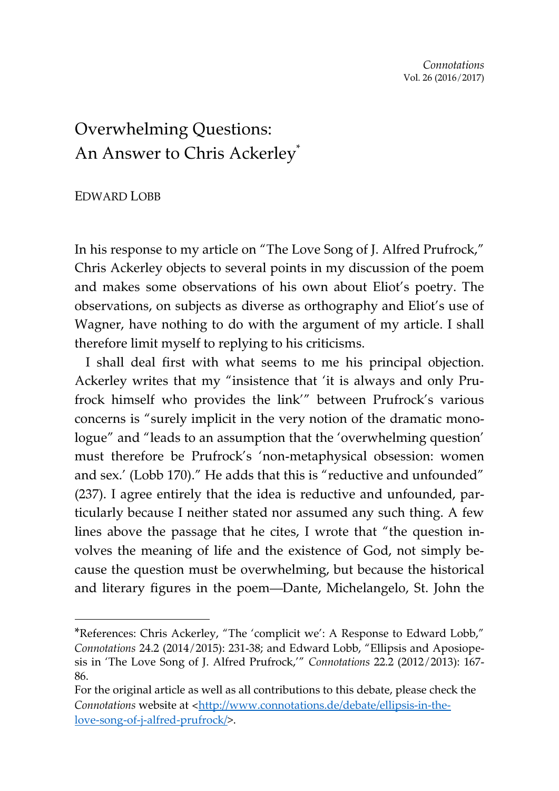## Overwhelming Questions: An Answer to Chris Ackerley\*

## EDWARD LOBB

-

In his response to my article on "The Love Song of J. Alfred Prufrock," Chris Ackerley objects to several points in my discussion of the poem and makes some observations of his own about Eliot's poetry. The observations, on subjects as diverse as orthography and Eliot's use of Wagner, have nothing to do with the argument of my article. I shall therefore limit myself to replying to his criticisms.

I shall deal first with what seems to me his principal objection. Ackerley writes that my "insistence that 'it is always and only Prufrock himself who provides the link'" between Prufrock's various concerns is "surely implicit in the very notion of the dramatic monologue" and "leads to an assumption that the 'overwhelming question' must therefore be Prufrock's 'non-metaphysical obsession: women and sex.' (Lobb 170)." He adds that this is "reductive and unfounded" (237). I agree entirely that the idea is reductive and unfounded, particularly because I neither stated nor assumed any such thing. A few lines above the passage that he cites, I wrote that "the question involves the meaning of life and the existence of God, not simply because the question must be overwhelming, but because the historical and literary figures in the poem—Dante, Michelangelo, St. John the

<sup>\*</sup>References: Chris Ackerley, "The 'complicit we': A Response to Edward Lobb," *Connotations* 24.2 (2014/2015): 231-38; and Edward Lobb, "Ellipsis and Aposiopesis in 'The Love Song of J. Alfred Prufrock,'" *Connotations* 22.2 (2012/2013): 167- 86.

For the original article as well as all contributions to this debate, please check the *Connotations* website at <[http://www.connotations.de/debate/ellipsis-in-the](http://www.connotations.de/debate/ellipsis-in-the-love-song-of-j-alfred-prufrock/)[love-song-of-j-alfred-prufrock/>](http://www.connotations.de/debate/ellipsis-in-the-love-song-of-j-alfred-prufrock/).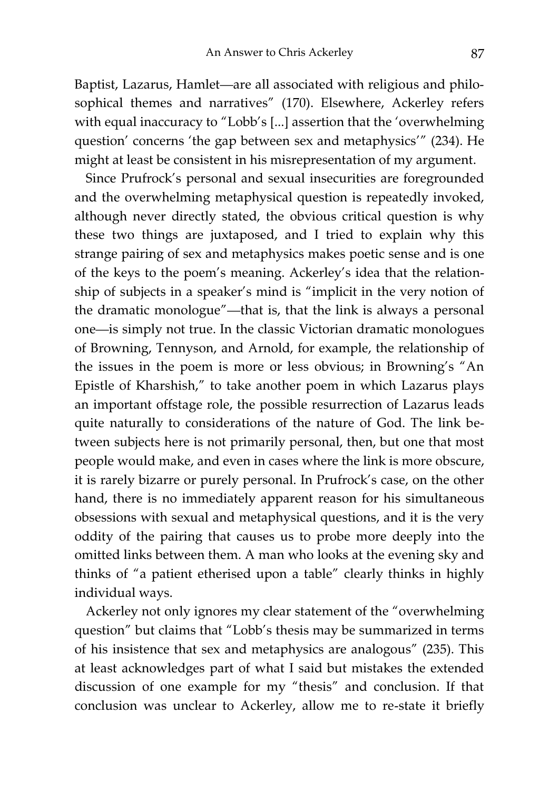Baptist, Lazarus, Hamlet—are all associated with religious and philosophical themes and narratives" (170). Elsewhere, Ackerley refers with equal inaccuracy to "Lobb's [...] assertion that the 'overwhelming question' concerns 'the gap between sex and metaphysics'" (234). He might at least be consistent in his misrepresentation of my argument.

Since Prufrock's personal and sexual insecurities are foregrounded and the overwhelming metaphysical question is repeatedly invoked, although never directly stated, the obvious critical question is why these two things are juxtaposed, and I tried to explain why this strange pairing of sex and metaphysics makes poetic sense and is one of the keys to the poem's meaning. Ackerley's idea that the relationship of subjects in a speaker's mind is "implicit in the very notion of the dramatic monologue"—that is, that the link is always a personal one—is simply not true. In the classic Victorian dramatic monologues of Browning, Tennyson, and Arnold, for example, the relationship of the issues in the poem is more or less obvious; in Browning's "An Epistle of Kharshish," to take another poem in which Lazarus plays an important offstage role, the possible resurrection of Lazarus leads quite naturally to considerations of the nature of God. The link between subjects here is not primarily personal, then, but one that most people would make, and even in cases where the link is more obscure, it is rarely bizarre or purely personal. In Prufrock's case, on the other hand, there is no immediately apparent reason for his simultaneous obsessions with sexual and metaphysical questions, and it is the very oddity of the pairing that causes us to probe more deeply into the omitted links between them. A man who looks at the evening sky and thinks of "a patient etherised upon a table" clearly thinks in highly individual ways.

Ackerley not only ignores my clear statement of the "overwhelming question" but claims that "Lobb's thesis may be summarized in terms of his insistence that sex and metaphysics are analogous" (235). This at least acknowledges part of what I said but mistakes the extended discussion of one example for my "thesis" and conclusion. If that conclusion was unclear to Ackerley, allow me to re-state it briefly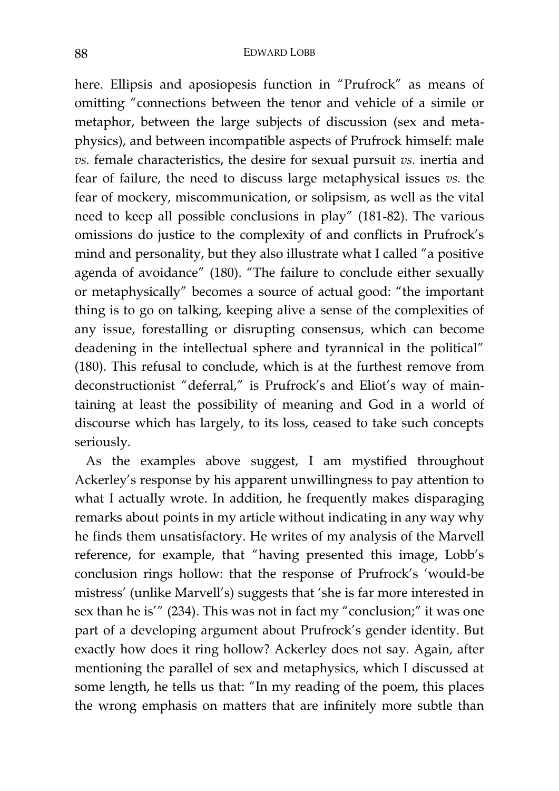## 88 EDWARD LOBB

here. Ellipsis and aposiopesis function in "Prufrock" as means of omitting "connections between the tenor and vehicle of a simile or metaphor, between the large subjects of discussion (sex and metaphysics), and between incompatible aspects of Prufrock himself: male *vs.* female characteristics, the desire for sexual pursuit *vs.* inertia and fear of failure, the need to discuss large metaphysical issues *vs.* the fear of mockery, miscommunication, or solipsism, as well as the vital need to keep all possible conclusions in play" (181-82). The various omissions do justice to the complexity of and conflicts in Prufrock's mind and personality, but they also illustrate what I called "a positive agenda of avoidance" (180). "The failure to conclude either sexually or metaphysically" becomes a source of actual good: "the important thing is to go on talking, keeping alive a sense of the complexities of any issue, forestalling or disrupting consensus, which can become deadening in the intellectual sphere and tyrannical in the political" (180). This refusal to conclude, which is at the furthest remove from deconstructionist "deferral," is Prufrock's and Eliot's way of maintaining at least the possibility of meaning and God in a world of discourse which has largely, to its loss, ceased to take such concepts seriously.

As the examples above suggest, I am mystified throughout Ackerley's response by his apparent unwillingness to pay attention to what I actually wrote. In addition, he frequently makes disparaging remarks about points in my article without indicating in any way why he finds them unsatisfactory. He writes of my analysis of the Marvell reference, for example, that "having presented this image, Lobb's conclusion rings hollow: that the response of Prufrock's 'would-be mistress' (unlike Marvell's) suggests that 'she is far more interested in sex than he is'" (234). This was not in fact my "conclusion;" it was one part of a developing argument about Prufrock's gender identity. But exactly how does it ring hollow? Ackerley does not say. Again, after mentioning the parallel of sex and metaphysics, which I discussed at some length, he tells us that: "In my reading of the poem, this places the wrong emphasis on matters that are infinitely more subtle than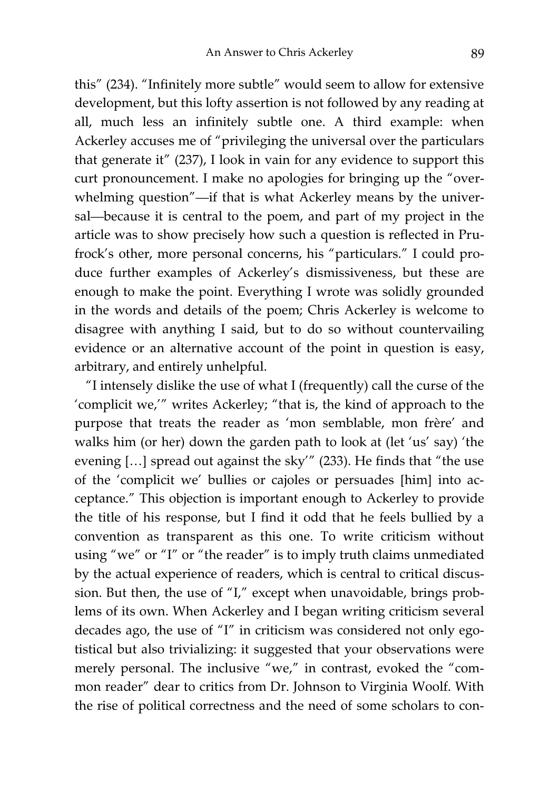this" (234). "Infinitely more subtle" would seem to allow for extensive development, but this lofty assertion is not followed by any reading at all, much less an infinitely subtle one. A third example: when Ackerley accuses me of "privileging the universal over the particulars that generate it" (237), I look in vain for any evidence to support this curt pronouncement. I make no apologies for bringing up the "overwhelming question"—if that is what Ackerley means by the universal—because it is central to the poem, and part of my project in the article was to show precisely how such a question is reflected in Prufrock's other, more personal concerns, his "particulars." I could produce further examples of Ackerley's dismissiveness, but these are enough to make the point. Everything I wrote was solidly grounded in the words and details of the poem; Chris Ackerley is welcome to disagree with anything I said, but to do so without countervailing evidence or an alternative account of the point in question is easy, arbitrary, and entirely unhelpful.

"I intensely dislike the use of what I (frequently) call the curse of the 'complicit we,'" writes Ackerley; "that is, the kind of approach to the purpose that treats the reader as 'mon semblable, mon frère' and walks him (or her) down the garden path to look at (let 'us' say) 'the evening […] spread out against the sky'" (233). He finds that "the use of the 'complicit we' bullies or cajoles or persuades [him] into acceptance." This objection is important enough to Ackerley to provide the title of his response, but I find it odd that he feels bullied by a convention as transparent as this one. To write criticism without using "we" or "I" or "the reader" is to imply truth claims unmediated by the actual experience of readers, which is central to critical discussion. But then, the use of "I," except when unavoidable, brings problems of its own. When Ackerley and I began writing criticism several decades ago, the use of "I" in criticism was considered not only egotistical but also trivializing: it suggested that your observations were merely personal. The inclusive "we," in contrast, evoked the "common reader" dear to critics from Dr. Johnson to Virginia Woolf. With the rise of political correctness and the need of some scholars to con-